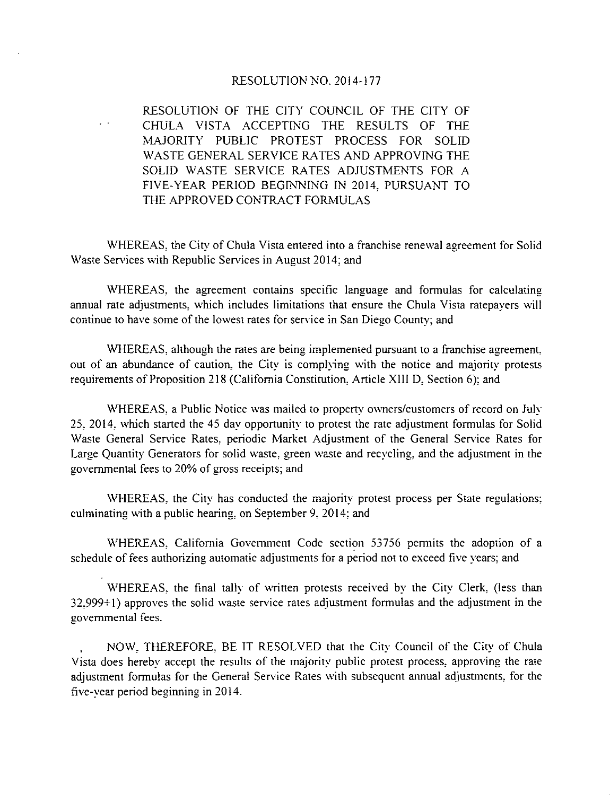## RESOLUTION NO. 2014-177

RESOLUTION OF THE CITY COUNCIL OF THE CITY OF CHULA VISTA ACCEPTING THE RESULTS OF THE MAJORITY PUBLIC PROTEST PROCESS FOR SOLID WASTE GENERAL SERVICE RATES AND APPROVING THE SOLID WASTE SERVICE RATES ADJUSTMENTS FOR A FIVE-YEAR PERIOD BEGINNING IN 2014, PURSUANT TO THE APPROVED CONTRACT FORMULAS

WHEREAS, the City of Chula Vista entered into a franchise renewal agreement for Solid Waste Services with Republic Services in August 2014; and

WHEREAS, the agreement contains specific language and formulas for calculating annual rate adjustments, which includes limitations that ensure the Chula Vista ratepavers will continue to have some of the lowest rates for service in San Diego County; and

WHEREAS, although the rates are being implemented pursuant to a franchise agreement, out of an abundance of caution, the City is complying with the notice and majority protests requirements of Proposition 218 (California Constitution, Article XIII D, Section 6); and

WHEREAS, a Public Notice was mailed to property owners/customers of record on July 25, 2014, which started the 45 day opportunity to protest the rate adjustment formulas for Solid Waste General Service Rates, periodic Market Adjustment of the General Service Rates for Large Quantity Generators for solid waste, green waste and recveling, and the adjustment in the governmental fees to 20% of gross receipts; and

WHEREAS, the City has conducted the majority protest process per State regulations; culminating with a public hearing, on September 9, 2014; and

WHEREAS, California Government Code section 53756 permits the adoption of a schedule of fees authorizing automatic adjustments for a period not to exceed five vears; and

WHEREAS, the final tally of written protests received by the City Clerk, (less than 32,999+1) approves the solid waste service rates adjustment formulas and the adjustment in the governmental fees.

NOW, THEREFORE, BE IT RESOLVED that the City Council of the City of Chula Vista does hereby accept the results of the majority public protest process, approving the rate adjustment formulas for the General Service Rates with subsequent annual adjustments, for the five-vear period beginning in 2014.